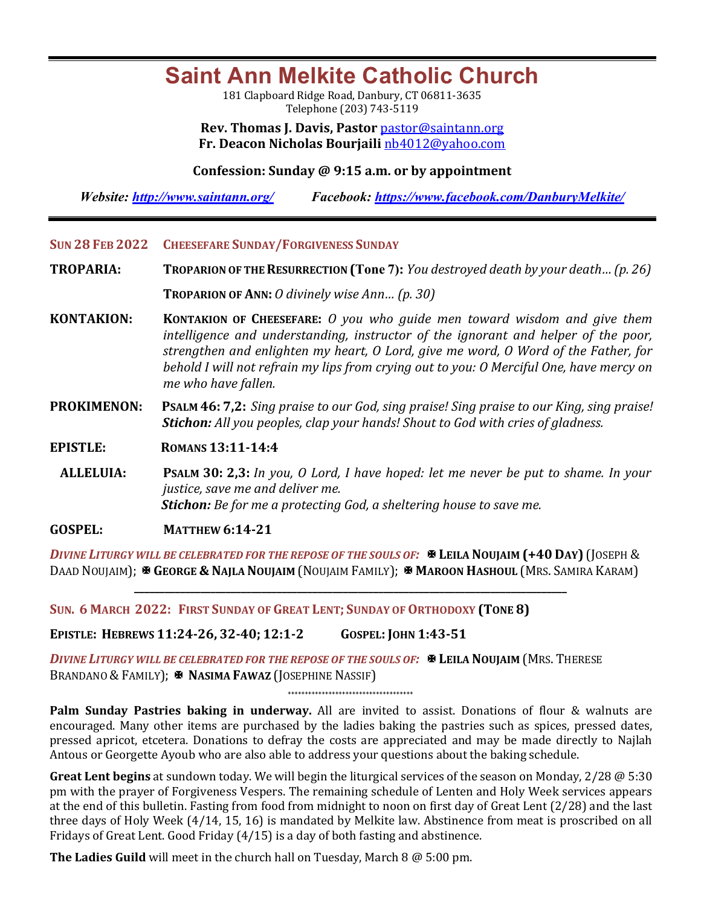## **Saint Ann Melkite Catholic Church**

181 Clapboard Ridge Road, Danbury, CT 06811-3635 Telephone (203) 743-5119

**Rev. Thomas J. Davis, Pastor** pastor@saintann.org **Fr. Deacon Nicholas Bourjaili** nb4012@yahoo.com

**Confession: Sunday @ 9:15 a.m. or by appointment**

*Website: http://www.saintann.org/ Facebook: https://www.facebook.com/DanburyMelkite/* 

- **SUN 28 FEB 2022 CHEESEFARE SUNDAY/FORGIVENESS SUNDAY**
- **TROPARIA: TROPARION OF THE RESURRECTION** (Tone 7): *You destroyed death by your death...* (p. 26) **TROPARION OF ANN:** *O* divinely wise Ann... (p. 30)
- **KONTAKION: KONTAKION OF CHEESEFARE:** *O* you who guide men toward wisdom and give them *intelligence and understanding, instructor of the ignorant and helper of the poor, strengthen and enlighten my heart, O Lord, give me word, O Word of the Father, for* behold I will not refrain my lips from crying out to you: O Merciful One, have mercy on me who have fallen.
- **PROKIMENON:** PSALM 46: 7,2: *Sing praise to our God, sing praise! Sing praise to our King, sing praise! Stichon:* All you peoples, clap your hands! Shout to God with cries of gladness.

**EPISTLE: ROMANS 13:11-14:4** 

**ALLELUIA: PSALM 30: 2,3:** *In you, O Lord, I have hoped: let me never be put to shame. In your justice, save me and deliver me.* **Stichon:** Be for me a protecting God, a sheltering house to save me.

**GOSPEL: MATTHEW 6:14-21** 

*DIVINE LITURGY WILL BE CELEBRATED FOR THE REPOSE OF THE SOULS OF:*  $\mathbb{R}$  **LEILA NOUJAIM** (+40 DAY) (JOSEPH & DAAD NOUJAIM); **E GEORGE & NAJLA NOUJAIM** (NOUJAIM FAMILY); **E MAROON HASHOUL** (MRS. SAMIRA KARAM)

**\_\_\_\_\_\_\_\_\_\_\_\_\_\_\_\_\_\_\_\_\_\_\_\_\_\_\_\_\_\_\_\_\_\_\_\_\_\_\_\_\_\_\_\_\_\_\_\_\_\_\_\_\_\_\_\_\_\_\_\_\_\_\_\_\_\_\_\_\_\_\_\_\_\_\_\_\_\_\_\_\_\_\_\_\_**

SUN. 6 MARCH 2022: FIRST SUNDAY OF GREAT LENT; SUNDAY OF ORTHODOXY (TONE 8)

**EPISTLE: HEBREWS 11:24-26, 32-40; 12:1-2 GOSPEL: JOHN 1:43-51**

*DIVINE LITURGY WILL BE CELEBRATED FOR THE REPOSE OF THE SOULS OF:*X **LEILA NOUJAIM** (MRS. THERESE BRANDANO & FAMILY); **X NASIMA FAWAZ** (JOSEPHINE NASSIF)

**+++++++++++++++++++++++++++++++++++++**

**Palm Sunday Pastries baking in underway.** All are invited to assist. Donations of flour & walnuts are encouraged. Many other items are purchased by the ladies baking the pastries such as spices, pressed dates, pressed apricot, etcetera. Donations to defray the costs are appreciated and may be made directly to Najlah Antous or Georgette Ayoub who are also able to address your questions about the baking schedule.

Great Lent begins at sundown today. We will begin the liturgical services of the season on Monday, 2/28 @ 5:30 pm with the prayer of Forgiveness Vespers. The remaining schedule of Lenten and Holy Week services appears at the end of this bulletin. Fasting from food from midnight to noon on first day of Great Lent (2/28) and the last three days of Holy Week  $(4/14, 15, 16)$  is mandated by Melkite law. Abstinence from meat is proscribed on all Fridays of Great Lent. Good Friday  $(4/15)$  is a day of both fasting and abstinence.

**The Ladies Guild** will meet in the church hall on Tuesday, March  $8 \text{ } @$  5:00 pm.